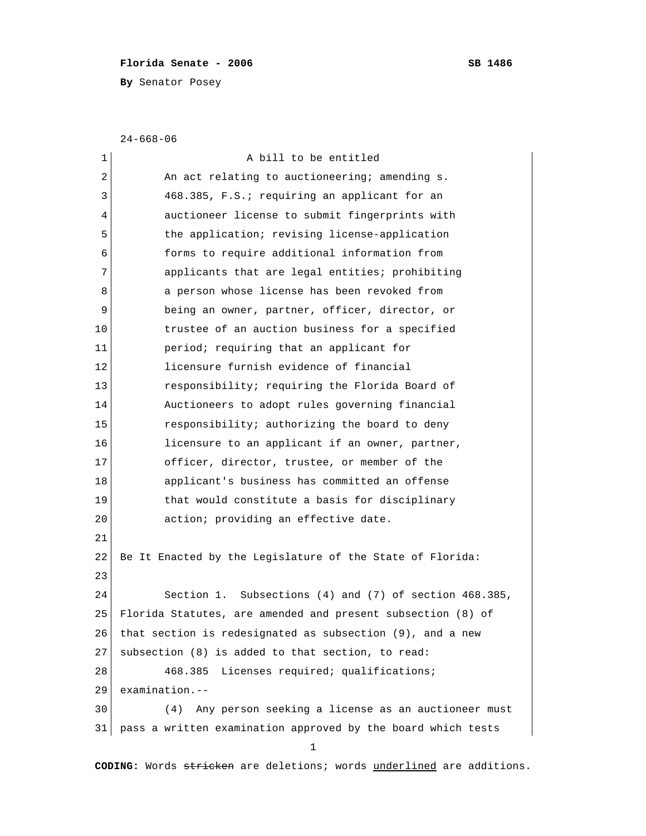## Florida Senate - 2006 SB 1486

**By** Senator Posey

24-668-06

| 1  | A bill to be entitled                                        |
|----|--------------------------------------------------------------|
| 2  | An act relating to auctioneering; amending s.                |
| 3  | 468.385, F.S.; requiring an applicant for an                 |
| 4  | auctioneer license to submit fingerprints with               |
| 5  | the application; revising license-application                |
| 6  | forms to require additional information from                 |
| 7  | applicants that are legal entities; prohibiting              |
| 8  | a person whose license has been revoked from                 |
| 9  | being an owner, partner, officer, director, or               |
| 10 | trustee of an auction business for a specified               |
| 11 | period; requiring that an applicant for                      |
| 12 | licensure furnish evidence of financial                      |
| 13 | responsibility; requiring the Florida Board of               |
| 14 | Auctioneers to adopt rules governing financial               |
| 15 | responsibility; authorizing the board to deny                |
| 16 | licensure to an applicant if an owner, partner,              |
| 17 | officer, director, trustee, or member of the                 |
| 18 | applicant's business has committed an offense                |
| 19 | that would constitute a basis for disciplinary               |
| 20 | action; providing an effective date.                         |
| 21 |                                                              |
| 22 | Be It Enacted by the Legislature of the State of Florida:    |
| 23 |                                                              |
| 24 | Section 1. Subsections (4) and (7) of section 468.385,       |
| 25 | Florida Statutes, are amended and present subsection (8) of  |
| 26 | that section is redesignated as subsection (9), and a new    |
| 27 | subsection (8) is added to that section, to read:            |
| 28 | Licenses required; qualifications;<br>468.385                |
| 29 | $examination. --$                                            |
| 30 | Any person seeking a license as an auctioneer must<br>(4)    |
| 31 | pass a written examination approved by the board which tests |
|    | 1                                                            |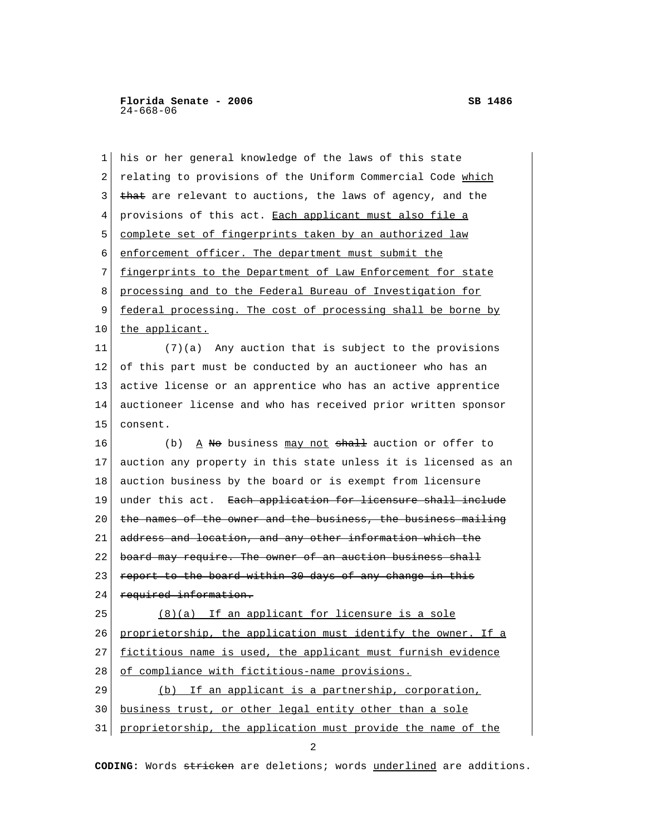| $\mathbf{1}$ | his or her general knowledge of the laws of this state         |
|--------------|----------------------------------------------------------------|
| 2            | relating to provisions of the Uniform Commercial Code which    |
| 3            | that are relevant to auctions, the laws of agency, and the     |
| 4            | provisions of this act. Each applicant must also file a        |
| 5            | complete set of fingerprints taken by an authorized law        |
| 6            | enforcement officer. The department must submit the            |
| 7            | fingerprints to the Department of Law Enforcement for state    |
| 8            | processing and to the Federal Bureau of Investigation for      |
| 9            | federal processing. The cost of processing shall be borne by   |
| 10           | the applicant.                                                 |
| 11           | $(7)(a)$ Any auction that is subject to the provisions         |
| 12           | of this part must be conducted by an auctioneer who has an     |
| 13           | active license or an apprentice who has an active apprentice   |
| 14           | auctioneer license and who has received prior written sponsor  |
| 15           | consent.                                                       |
| 16           | A No business may not shall auction or offer to<br>(b)         |
| 17           | auction any property in this state unless it is licensed as an |
| 18           | auction business by the board or is exempt from licensure      |
| 19           | under this act. Each application for licensure shall include   |
| 20           | the names of the owner and the business, the business mailing  |
| 21           | address and location, and any other information which the      |
| 22           | board may require. The owner of an auction business shall      |
| 23           | report to the board within 30 days of any change in this       |
| 24           | required information.                                          |
| 25           | (8)(a) If an applicant for licensure is a sole                 |
| 26           | proprietorship, the application must identify the owner. If a  |
| 27           | fictitious name is used, the applicant must furnish evidence   |
| 28           | of compliance with fictitious-name provisions.                 |
| 29           | (b) If an applicant is a partnership, corporation,             |
| 30           | business trust, or other legal entity other than a sole        |
| 31           | proprietorship, the application must provide the name of the   |

2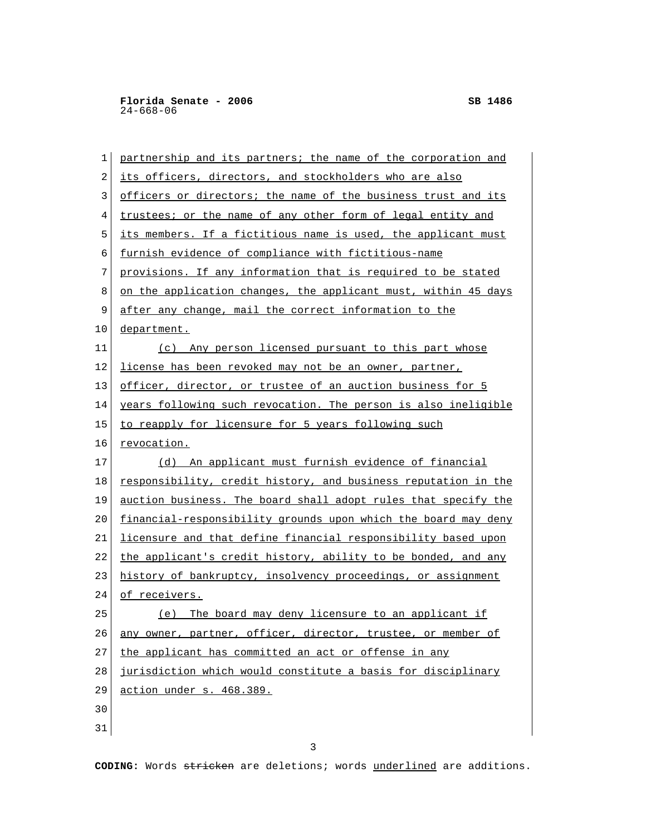| 1          | partnership and its partners; the name of the corporation and  |
|------------|----------------------------------------------------------------|
| $\sqrt{2}$ | its officers, directors, and stockholders who are also         |
| 3          | officers or directors; the name of the business trust and its  |
| 4          | trustees; or the name of any other form of legal entity and    |
| 5          | its members. If a fictitious name is used, the applicant must  |
| 6          | furnish evidence of compliance with fictitious-name            |
| 7          | provisions. If any information that is required to be stated   |
| 8          | on the application changes, the applicant must, within 45 days |
| 9          | after any change, mail the correct information to the          |
| 10         | department.                                                    |
| 11         | (c) Any person licensed pursuant to this part whose            |
| 12         | license has been revoked may not be an owner, partner,         |
| 13         | officer, director, or trustee of an auction business for 5     |
| 14         | years following such revocation. The person is also ineligible |
| 15         | to reapply for licensure for 5 years following such            |
| 16         | revocation.                                                    |
| 17         | (d) An applicant must furnish evidence of financial            |
| 18         | responsibility, credit history, and business reputation in the |
| 19         | auction business. The board shall adopt rules that specify the |
| 20         | financial-responsibility grounds upon which the board may deny |
| 21         | licensure and that define financial responsibility based upon  |
| 22         | the applicant's credit history, ability to be bonded, and any  |
| 23         | history of bankruptcy, insolvency proceedings, or assignment   |
| 24         | of receivers.                                                  |
| 25         | (e) The board may deny licensure to an applicant if            |
| 26         | any owner, partner, officer, director, trustee, or member of   |
| 27         | the applicant has committed an act or offense in any           |
| 28         | jurisdiction which would constitute a basis for disciplinary   |
|            |                                                                |
| 29         | action under s. 468.389.                                       |
| 30         |                                                                |